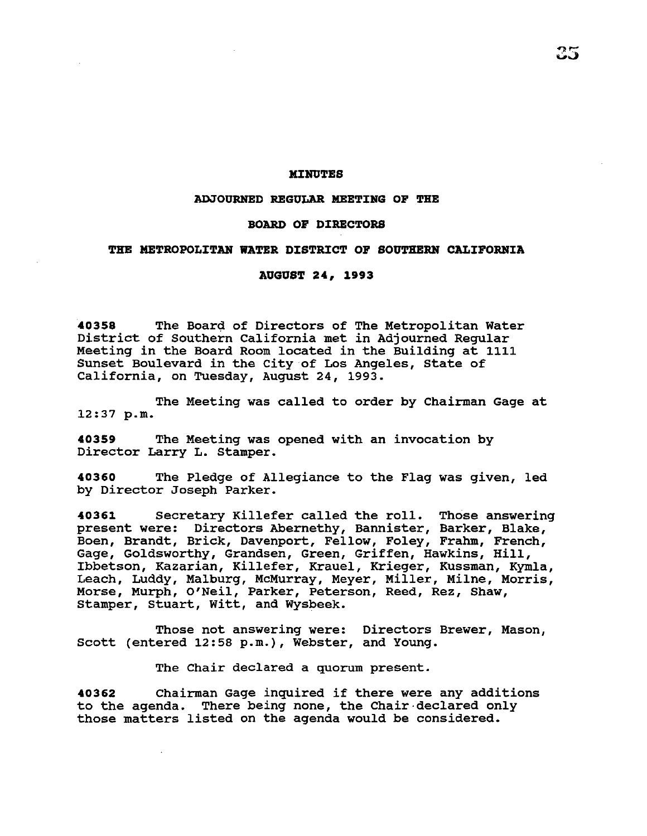### **MJ:HUTES**

#### **ADJOURNED REGULAR MEETING OF THE**

#### **BOARD OF DJ:RECTORS**

### THE METROPOLITAN WATER DISTRICT OF SOUTHERN CALIFORNIA

## **AUGUST 24, 1993**

**40358** The Board of Directors of The Metropolitan Water District of Southern California met in Adjourned Regular Meeting in the Board Room located in the Building at 1111 Sunset Boulevard in the City of Los Angeles, State of California, on Tuesday, August 24, 1993.

The Meeting was called to order by Chairman Gage at 12:37 p.m.

**40359** The Meeting was opened with an invocation by Director Larry L. Stamper.

**40360** The Pledge of Allegiance to the Flag was given, led by Director Joseph Parker.

**40361** Secretary Killefer called the roll. Those answering present were: Directors Abernethy, Bannister, Barker, Blake, Boen, Brandt, Brick, Davenport, Fellow, Foley, Frahm, French, Gage, Goldsworthy, Grandsen, Green, Griffen, Hawkins, Hill, Ibbetson, Kazarian, Killefer, Krauel, Krieger, Kussman, Kymla, Leach, Luddy, Malburg, McMurray, Meyer, Miller, Milne, Morris, Morse, Murph, O'Neil, Parker, Peterson, Reed, Rez, Shaw, Stamper, stuart, Witt, and Wysbeek.

Those not answering were: Directors Brewer, Mason, Scott (entered 12:58 p.m.), Webster, and Young.

The Chair declared a quorum present.

**<sup>40362</sup>**Chairman Gage inquired if there were any additions to the agenda. There being none, the Chair·declared only those matters listed on the agenda would be considered.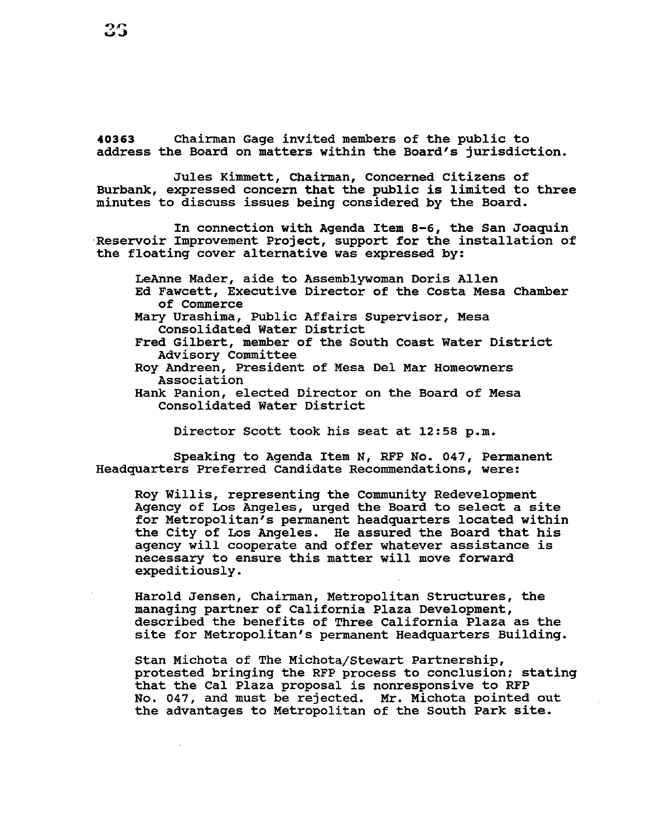**40363** Chairman Gage invited members of the public to address the Board on matters within the Board's jurisdiction.

Jules Kimmett, Chairman, Concerned Citizens of Burbank, expressed concern that the public is limited to three minutes to discuss issues being considered by the Board.

In connection with Agenda Item 8-6, the San Joaquin Reservoir Improvement Project, support for the installation of the floating cover alternative was expressed by:

LeAnne Mader, aide to Assemblywoman Doris Allen Ed Fawcett, Executive Director of the Costa Mesa Chamber of Commerce Mary Urashima, Public Affairs supervisor, Mesa

Consolidated Water District Fred Gilbert, member of the South Coast Water District

Advisory Committee

Roy Andreen, President of Mesa Del Mar Homeowners Association

Hank Panion, elected Director on the Board of Mesa Consolidated Water District

Director Scott took his seat at 12:58 p.m.

Speaking to Agenda Item N, RFP No. 047, Permanent Headquarters Preferred Candidate Recommendations, were:

Roy Willis, representing the Community Redevelopment Agency of Los Angeles, urged the Board to select a site for Metropolitan's permanent headquarters located within the City of Los Angeles. He assured the Board that his agency will cooperate and offer whatever assistance is necessary to ensure this matter will move forward expeditiously.

Harold Jensen, Chairman, Metropolitan Structures, the managing partner of California Plaza Development, described the benefits of Three California Plaza as the site for Metropolitan's permanent Headquarters Building.

Stan Michota of The Michota/Stewart Partnership, protested bringing the RFP process to conclusion; stating that the Cal Plaza proposal is nonresponsive to RFP No. 047, and must be rejected. Mr. Michota pointed out the advantages to Metropolitan of the South Park site.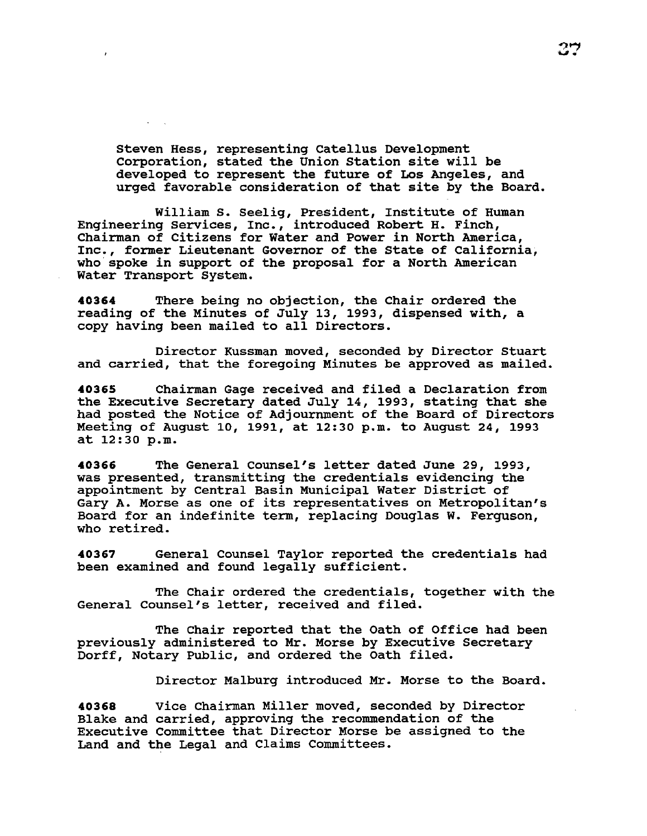Steven Hess, representing catellus Development Corporation, stated the Union Station site will be developed to represent the future of Los Angeles, and urged favorable consideration of that site by the Board.

William s. Seelig, President, Institute of Human Engineering Services, Inc., introduced Robert H. Finch, Chairman of Citizens for Water and Power in North America, Inc., former Lieutenant Governor of the State of California, who spoke in support of the proposal for a North American Water Transport System.

**40364** There being no objection, the Chair ordered the reading of the Minutes of July 13, 1993, dispensed with, a copy having been mailed to all Directors.

Director Kussman moved, seconded by Director Stuart and carried, that the foregoing Minutes be approved as mailed.

**40365** Chairman Gage received and filed a Declaration from the Executive Secretary dated July 14, 1993, stating that she had posted the Notice of Adjournment of the Board of Directors Meeting of August 10, 1991, at 12:30 p.m. to August 24, 1993 at 12:30 p.m.

**40366** The General Counsel's letter dated June 29, 1993, was presented, transmitting the credentials evidencing the appointment by Central Basin Municipal Water District of Gary A. Morse as one of its representatives on Metropolitan's Board for an indefinite term, replacing Douglas w. Ferguson, who retired.

**40367** General Counsel Taylor reported the credentials had been examined and found legally sufficient.

The Chair ordered the credentials, together with the General Counsel's letter, received and filed.

The Chair reported that the Oath of Office had been previously administered to Mr. Morse by Executive Secretary Dorff, Notary Public, and ordered the oath filed.

Director Malburg introduced Mr. Morse to the Board.

**40368** Vice Chairman Miller moved, seconded by Director Blake and carried, approving the recommendation of the Executive Committee that Director Morse be assigned to the Land and the Legal and Claims Committees.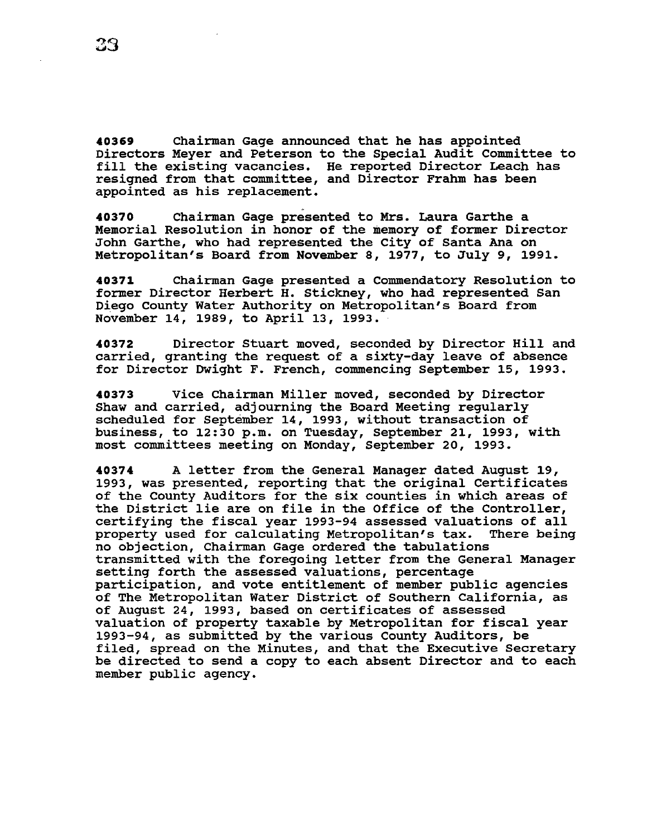**40369** Chairman Gage announced that he has appointed Directors Meyer and Peterson to the Special Audit Committee to Directors meyer and reterson to the special Addit Committee (<br>fill the existing vacancies. He reported Director Leach has riff the carbonny vacancies. He reported britector Beach is appointed as his replacement.

**40370** Chairman Gage presented to Mrs. Laura Garthe a Memorial Resolution in honor of the memory of former Director John Garthe, who had represented the City of Santa Ana on Metropolitan's Board from November 8, 1977, to July 9, 1991.

**40371** Chairman Gage presented a Commendatory Resolution to former Director Herbert H. stickney, who had represented San Diego county water Authority on Metropolitan's Board from November 14, 1989, to April 13, 1993.

**40372** Director Stuart moved, seconded by Director Hill and carried, granting the request of a sixty-day leave of absence for Director Dwight F. French, commencing September 15, 1993.

**40373** Vice Chairman Miller moved, seconded by Director Shaw and carried, adjourning the Board Meeting regularly scheduled for September 14, 1993, without transaction of business, to 12:30 p.m. on Tuesday, September 21, 1993, with most committees meeting on Monday, September 20, 1993.

**<sup>40374</sup>**A letter from the General Manager dated August 19, 1993, was presented, reporting that the original Certificates of the County Auditors for the six counties in which areas of the District lie are on file in the Office of the Controller, certifying the fiscal year 1993-94 assessed valuations of all property used for calculating Metropolitan's tax. There being no objection, Chairman Gage ordered the tabulations transmitted with the foregoing letter from the General Manager setting forth the assessed valuations, percentage participation, and vote entitlement of member public agencies of The Metropolitan Water District of Southern California, as of August 24, 1993, based on certificates of assessed valuation of property taxable by Metropolitan for fiscal year 1993-94, as submitted by the various County Auditors, be filed, spread on the Minutes, and that the Executive Secretary be directed to send a copy to each absent Director and to each member public agency.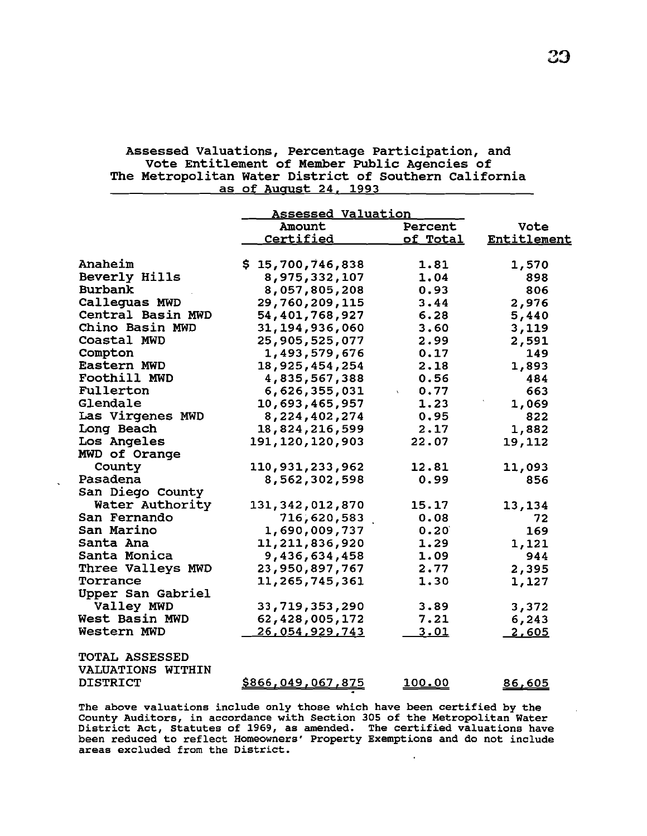# Assessed Valuations, Percentage Participation, and vote Entitlement of Member Public Agencies of The Metropolitan water District of Southern California as of August 24, 1993

|                          | <b>Assessed Valuation</b> |                |             |
|--------------------------|---------------------------|----------------|-------------|
|                          | Amount                    | Percent        | Vote        |
|                          | <b>Certified</b>          | of Total       | Entitlement |
|                          |                           |                |             |
| Anaheim                  | \$15,700,746,838          | 1.81           | 1,570       |
| Beverly Hills            | 8,975,332,107             | 1.04           | 898         |
| Burbank                  | 8,057,805,208             | 0.93           | 806         |
| Calleguas MWD            | 29,760,209,115            | 3.44           | 2,976       |
| Central Basin MWD        | 54,401,768,927            | 6.28           | 5,440       |
| Chino Basin MWD          | 31, 194, 936, 060         | 3.60           | 3,119       |
| Coastal MWD              | 25,905,525,077            | 2.99           | 2,591       |
| Compton                  | 1,493,579,676             | 0.17           | 149         |
| Eastern MWD              | 18,925,454,254            | 2.18           | 1,893       |
| Foothill MWD             | 4,835,567,388             | 0.56           | 484         |
| Fullerton                | 6,626,355,031             | 0.77           | 663         |
| Glendale                 | 10,693,465,957            | 1.23           | 1,069       |
| Las Virgenes MWD         | 8,224,402,274             | 0.95           | 822         |
| Long Beach               | 18,824,216,599            | 2.17           | 1,882       |
| Los Angeles              | 191, 120, 120, 903        | 22.07          | 19,112      |
| MWD of Orange            |                           |                |             |
| County                   | 110,931,233,962           | 12.81          | 11,093      |
| Pasadena                 | 8,562,302,598             | 0.99           | 856         |
| San Diego County         |                           |                |             |
| Water Authority          | 131, 342, 012, 870        | 15.17          | 13,134      |
| San Fernando             | 716,620,583               | 0.08           | 72          |
| San Marino               | 1,690,009,737             | 0.20           | 169         |
| Santa Ana                | 11,211,836,920            | 1.29           | 1,121       |
| Santa Monica             | 9,436,634,458             | 1.09           | 944         |
| Three Valleys MWD        | 23,950,897,767            | 2.77           | 2,395       |
| Torrance                 | 11,265,745,361            | 1.30           | 1,127       |
| Upper San Gabriel        |                           |                |             |
| Valley MWD               | 33,719,353,290            | 3.89           | 3,372       |
| West Basin MWD           | 62,428,005,172            | 7.21           | 6,243       |
| Western MWD              | 26,054,929,743            | 3.01           | 2,605       |
|                          |                           |                |             |
| TOTAL ASSESSED           |                           |                |             |
| <b>VALUATIONS WITHIN</b> |                           |                |             |
| <b>DISTRICT</b>          | <u>\$866,049,067,875</u>  | <u> 100.00</u> | 86,605      |
|                          |                           |                |             |

The above valuations include only those which have been certified by the County Auditors, in accordance with Section 305 of the Metropolitan Water District Act, statutes of 1969, as amended. The certified valuations have been reduced to reflect Homeowners' Property Exemptions and do not include areas excluded from the District.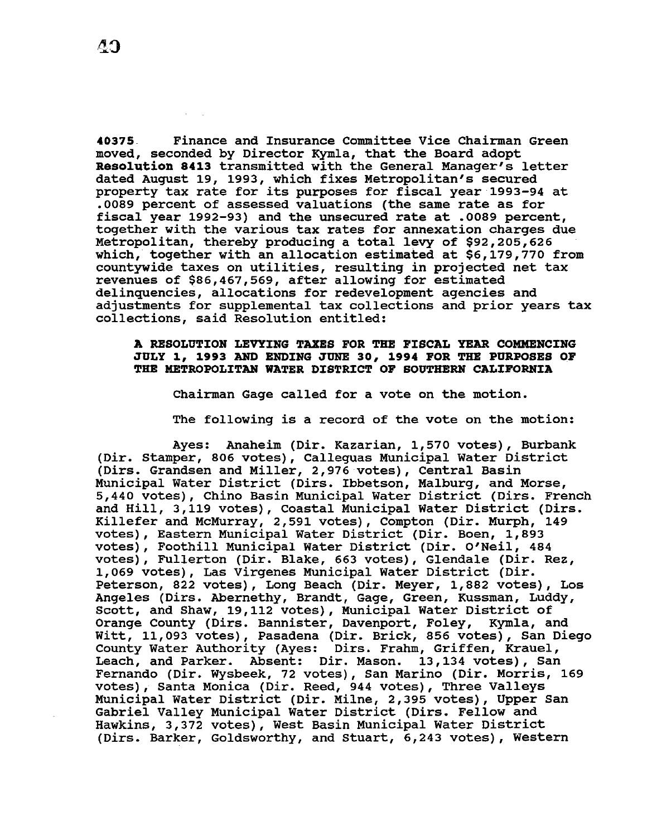40375 Finance and Insurance Committee Vice Chairman Green moved, seconded by Director Kymla, that the Board adopt Resolution 8413 transmitted with the General Manager's letter dated August 19, 1993, which fixes Metropolitan's secured property tax rate for its purposes for fiscal year 1993-94 at .0089 percent of assessed valuations (the same rate as for fiscal year 1992-93) and the unsecured rate at .0089 percent, together with the various tax rates for annexation charges due Metropolitan, thereby producing a total levy of \$92,205,626 which, together with an allocation estimated at \$6,179,770 from countywide taxes on utilities, resulting in projected net tax revenues of \$86,467,569, after allowing for estimated delinquencies, allocations for redevelopment agencies and adjustments for supplemental tax collections and prior years tax collections, said Resolution entitled:

## A RESOLUTION LEVYING TAXES FOR THE FISCAL YEAR COMMENCING JULY 1 1 1993 AND ENDXHG JUNE *30* <sup>1</sup>1994 FOR THE PURPOSES OF THE METROPOLITAN WATER DISTRICT OF SOUTHERN CALIFORNIA

Chairman Gage called for a vote on the motion.

The following is a record of the vote on the motion:

Ayes: Anaheim (Dir. Kazarian, 1,570 votes), Burbank (Dir. stamper, 806 votes), Calleguas Municipal Water District (Dirs. Grandsen and Miller, 2,976 votes), Central Basin Municipal Water District (Dirs. Ibbetson, Malburg, and Morse, 5,440 votes), Chino Basin Municipal Water District (Dirs. French and Hill, 3,119 votes), Coastal Municipal Water District (Dirs. Killefer and McMurray, 2,591 votes), Compton (Dir. Murph, 149 votes), Eastern Municipal Water District (Dir. Boen, 1,893 votes), Foothill Municipal water District (Dir. O'Neil, 484 votes), Fullerton (Dir. Blake, 663 votes), Glendale (Dir. Rez, 1,069 votes), Las Virgenes Municipal Water District (Dir. Peterson, 822 votes), Long Beach (Dir. Meyer, 1,882 votes), Los Angeles (Dirs. Abernethy, Brandt, Gage, Green, Kussman, Luddy, Scott, and Shaw, 19,112 votes), Municipal Water District of Orange County (Dirs. Bannister, Davenport, Foley, Kymla, and Witt, 11,093 votes), Pasadena (Dir. Brick, 856 votes), San Diego County Water Authority (Ayes: Dirs. Frahm, Griffen, Krauel, Leach, and Parker. Absent: Dir. Mason. 13,134 votes), San Fernando (Dir. Wysbeek, 72 votes), San Marino (Dir. Morris, 169 votes), Santa Monica (Dir. Reed, 944 votes), Three Valleys Municipal Water District (Dir. Milne, 2,395 votes), Upper San Gabriel Valley Municipal Water District (Dirs. Fellow and Hawkins, 3,372 votes), West Basin Municipal Water District (Dirs. Barker, Goldsworthy, and stuart, 6,243 votes), Western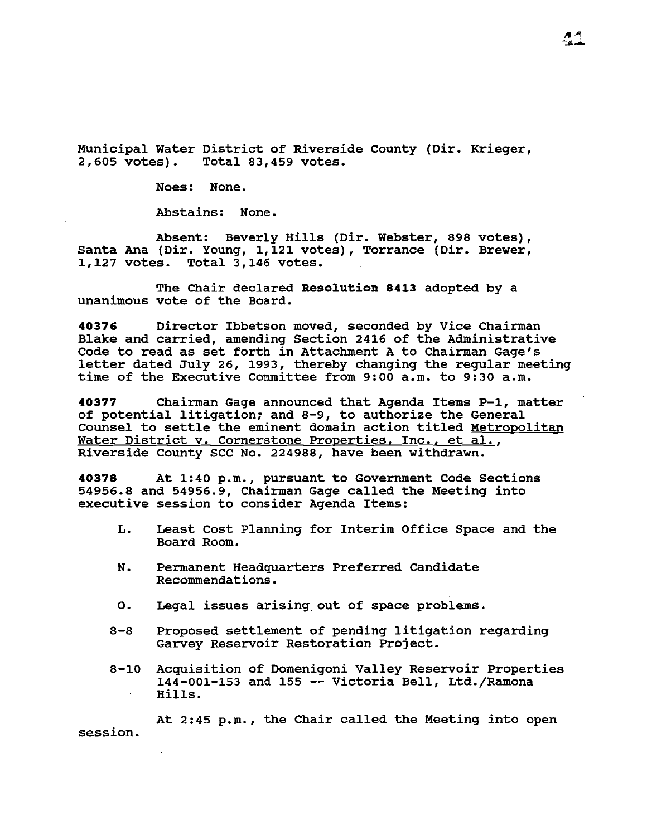Municipal Water District of Riverside County (Dir. Krieger, 2,605 votes). Total 83,459 votes. 2,605 votes). Total 83,459 votes.

Noes: None.

Abstains: None.

Absent: Beverly Hills (Dir. Webster, 898 votes), Santa Ana *(Dir.* Young, 1,121 votes), Torrance (Dir. Brewer, Total  $3,146$  votes.

The Chair declared **Resolution 8413** adopted by a unanimous vote of the Board.

**40376** Director Ibbetson moved, seconded by Vice Chairman Blake and carried, amending Section 2416 of the Administrative Code to read as set forth in Attachment A to Chairman Gage's letter dated July 26, 1993, thereby changing the regular meeting time of the Executive Committee from 9:00 a.m. to 9:30 a.m.

**40377** Chairman Gage announced that Agenda Items P-1, matter of potential litigation; and 8-9, to authorize the General Counsel to settle the eminent domain action titled Metropolitan Water District v. Cornerstone Properties, Inc., et al., Riverside County SCC No. 224988, have been withdrawn.

**40378** At 1:40 p.m., pursuant to Government Code Sections 54956.8 and 54956.9, Chairman Gage called the Meeting into executive session to consider Agenda Items:

- L. Least Cost Planning for Interim Office Space and the Board Room.
- N. Permanent Headquarters Preferred Candidate Recommendations.
- o. Legal issues arising out of space problems.
- 8-8 Proposed settlement of pending litigation regarding Garvey Reservoir Restoration Project.
- 8-10 Acquisition of Domenigoni Valley Reservoir Properties 144-001-153 and 155 -- Victoria Bell, Ltd./Ramona Hills.

At  $2:45$  p.m., the Chair called the Meeting into open session.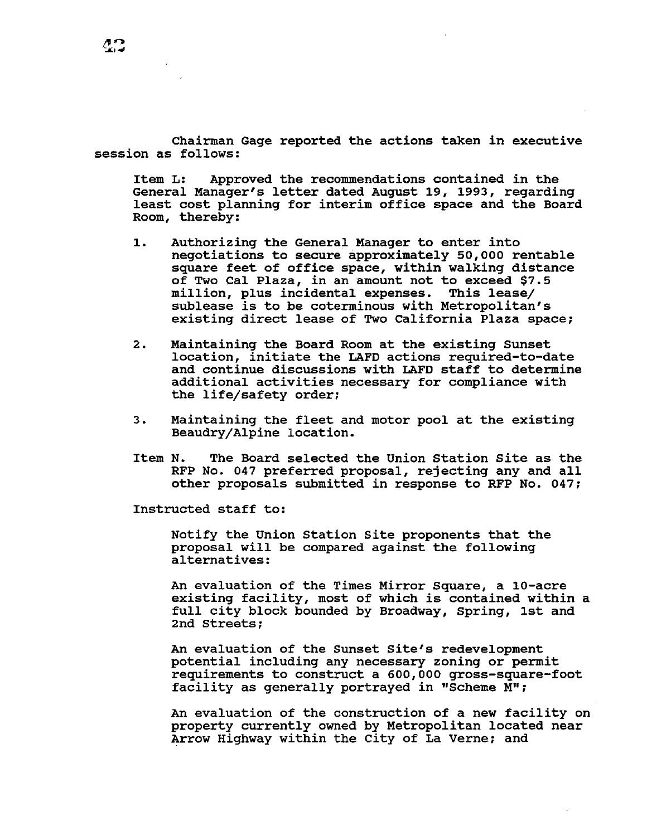Chairman Gage reported the actions taken in executive session as follows:

Item L: Approved the recommendations contained in the General Manager's letter dated August 19, 1993, regarding least cost planning for interim office space and the Board Room, thereby:

- 1. Authorizing the General Manager to enter into negotiations to secure approximately 50,000 rentable square feet of office space, within walking distance of Two Cal Plaza, in an amount not to exceed \$7.5 million, plus incidental expenses. This lease/ sublease is to be coterminous with Metropolitan's existing direct lease of Two California Plaza space;
- 2. Maintaining the Board Room at the existing Sunset location, initiate the LAFD actions required-to-date and continue discussions with LAFD staff to determine additional activities necessary for compliance with the life/safety order;
- 3. Maintaining the fleet and motor pool at the existing Beaudry/Alpine location.
- Item N. The Board selected the Union Station Site as the RFP No. 047 preferred proposal, rejecting any and all other proposals submitted in response to RFP No. 047;

Instructed staff to:

Notify the Union Station Site proponents that the proposal will be compared against the following alternatives:

An evaluation of the Times Mirror Square, a 10-acre existing facility, most of which is contained within a full city block bounded by Broadway, Spring, 1st and 2nd streets;

An evaluation of the Sunset Site's redevelopment potential including any necessary zoning or permit requirements to construct a 600,000 gross-square-foot facility as generally portrayed in "Scheme M";

An evaluation of the construction of a new facility on property currently owned by Metropolitan located near Arrow Highway within the City of La Verne; and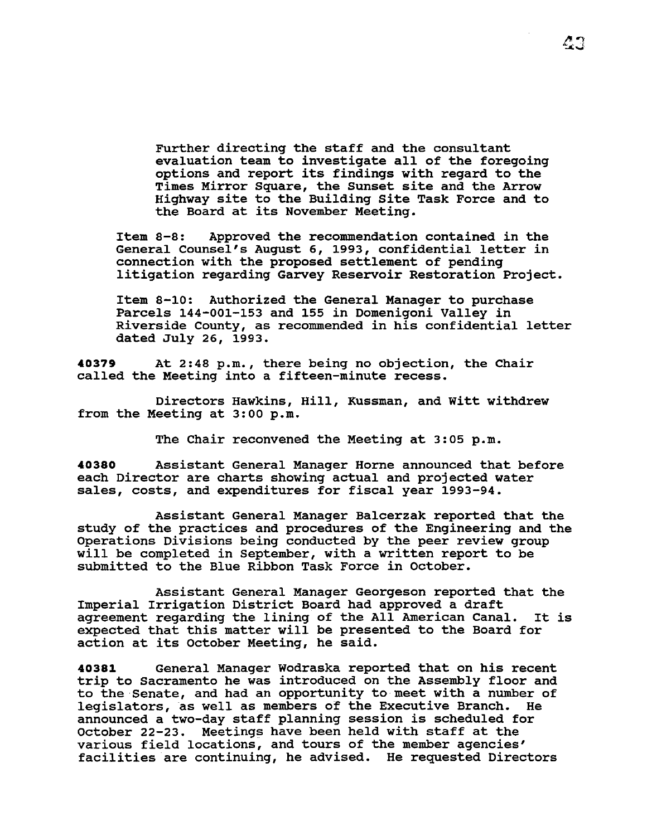Further directing the staff and the consultant evaluation team to investigate all of the foregoing options and report its findings with regard to the Times Mirror Square, the Sunset site and the Arrow Highway site to the Building Site Task Force and to the Board at its November Meeting.

Item 8-8: Approved the recommendation contained in the General Counsel's August 6, 1993, confidential letter in connection with the proposed settlement of pending litigation regarding Garvey Reservoir Restoration Project.

Item 8-10: Authorized the General Manager to purchase Parcels 144-001-153 and 155 in Domenigoni Valley in Riverside County, as recommended in his confidential letter dated July 26, 1993.

**40379** At 2:48p.m., there being no objection, the Chair called the Meeting into a fifteen-minute recess.

Directors Hawkins, Hill, Kussman, and Witt withdrew from the Meeting at 3:00 p.m.

The Chair reconvened the Meeting at 3:05 p.m.

**40380** Assistant General Manager Horne announced that before each Director are charts showing actual and projected water sales, costs, and expenditures for fiscal year 1993-94.

Assistant General Manager Balcerzak reported that the study of the practices and procedures of the Engineering and the Operations Divisions being conducted by the peer review group will be completed in September, with a written report to be submitted to the Blue Ribbon Task Force in October.

Assistant General Manager Georgeson reported that the Imperial Irrigation District Board had approved a draft agreement regarding the lining of the All American Canal. It is expected that this matter will be presented to the Board for action at its October Meeting, he said.

**40381** General Manager Wodraska reported that on his recent trip to Sacramento he was introduced on the Assembly floor and to the Senate, and had an opportunity to meet with a number of legislators, as well as members of the Executive Branch. He announced a two-day staff planning session is scheduled for october 22-23. Meetings have been held with staff at the various field locations, and tours of the member agencies' facilities are continuing, he advised. He requested Directors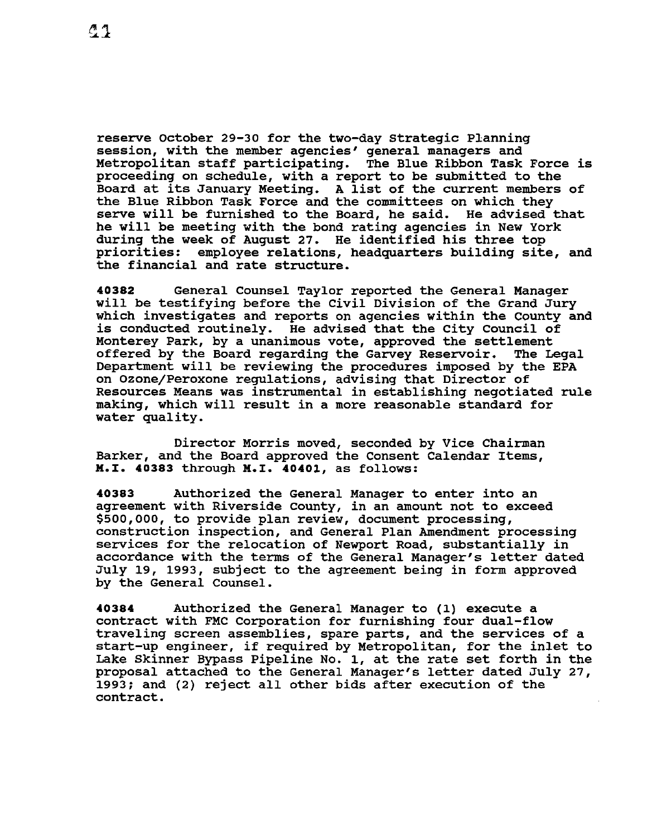reserve October 29-30 for the two-day Strategic Planning session, with the member agencies' general managers and Metropolitan staff participating. The Blue Ribbon Task Force is proceeding on schedule, with a report to be submitted to the Board at its January Meeting. A list of the current members of the Blue Ribbon Task Force and the committees on which they serve will be furnished to the Board, he said. He advised that serve will be furnished to the Board, he said. he will be meeting with the bond rating agencies in New York during the week of August 27. He identified his three top priorities: employee relations, headquarters building site, and the financial and rate structure.

**40382** General Counsel Taylor reported the General Manager will be testifying before the Civil Division of the Grand Jury which investigates and reports on agencies within the County and is conducted routinely. He advised that the City Council of Monterey Park, by a unanimous vote, approved the settlement<br>offered by the Board regarding the Garvey Reservoir. The Legal offered by the Board regarding the Garvey Reservoir. Department will be reviewing the procedures imposed by the EPA on Ozone/Peroxone regulations, advising that Director of Resources Means was instrumental in establishing negotiated rule making, which will result in a more reasonable standard for water quality.

Director Morris moved, seconded by Vice Chairman Barker, and the Board approved the Consent Calendar Items, **M.X. 40383** through **M.x. 40401,** as follows:

**40383** Authorized the General Manager to enter into an agreement with Riverside county, in an amount not to exceed \$500,000, to provide plan review, document processing, construction inspection, and General Plan Amendment processing services for the relocation of Newport Road, substantially in accordance with the terms of the General Manager's letter dated July 19, 1993, subject to the agreement being in form approved by the General Counsel.

**40384** Authorized the General Manager to (1) execute a contract with FMC Corporation for furnishing four dual-flow traveling screen assemblies, spare parts, and the services of a start-up engineer, if required by Metropolitan, for the inlet to Lake Skinner Bypass Pipeline No. 1, at the rate set forth in the proposal attached to the General Manager's letter dated July 27, 1993: and (2) reject all other bids after execution of the contract.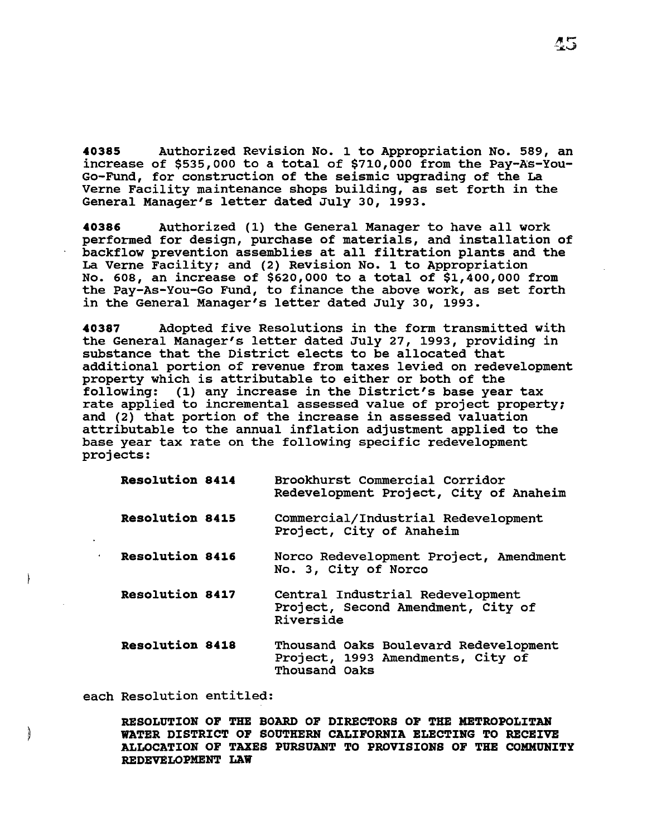40385 Authorized Revision No. 1 to Appropriation No. 589, an increase of  $$535,000$  to a total of  $$710,000$  from the Pay-As-You-Go-Fund, for construction of the seismic upgrading of the La Verne Facility maintenance shops building, as set forth in the General Manager's letter dated July 30, 1993.

40386 Authorized (1) the General Manager to have all work performed for design, purchase of materials, and installation of backflow prevention assemblies at all filtration plants and the La Verne Facility; and {2) Revision No. 1 to Appropriation No. 608, an increase of \$620,000 to a total of \$1,400,000 from the Pay-As-You-Go Fund, to finance the above work, as set forth in the General Manager's letter dated July 30, 1993.

40387 Adopted five Resolutions in the form transmitted with the General Manager's letter dated July 27, 1993, providing in substance that the District elects to be allocated that additional portion of revenue from taxes levied on redevelopment property which is attributable to either or both of the following: (1) any increase in the District's base year tax rate applied to incremental assessed value of project property; and {2) that portion of the increase in assessed valuation attributable to the annual inflation adjustment applied to the base year tax rate on the following specific redevelopment projects:

| Resolution 8414        | Brookhurst Commercial Corridor<br>Redevelopment Project, City of Anaheim                    |  |
|------------------------|---------------------------------------------------------------------------------------------|--|
| <b>Resolution 8415</b> | Commercial/Industrial Redevelopment<br>Project, City of Anaheim                             |  |
| <b>Resolution 8416</b> | Norco Redevelopment Project, Amendment<br>No. 3, City of Norco                              |  |
| <b>Resolution 8417</b> | Central Industrial Redevelopment<br>Project, Second Amendment, City of<br>Riverside         |  |
| <b>Resolution 8418</b> | Thousand Oaks Boulevard Redevelopment<br>Project, 1993 Amendments, City of<br>Thousand Oaks |  |

each Resolution entitled:

**Calculation** 

RESOLUTION OF THE BOARD OF DIRECTORS OF THE METROPOLITAN WATER DISTRICT OF SOUTHERN CALIFORNIA ELECTING TO RECEIVE ALLOCATION OF TAXES PURSUANT TO PROVISIONS OF THE COMMUNITY REDEVELOPMENT LAW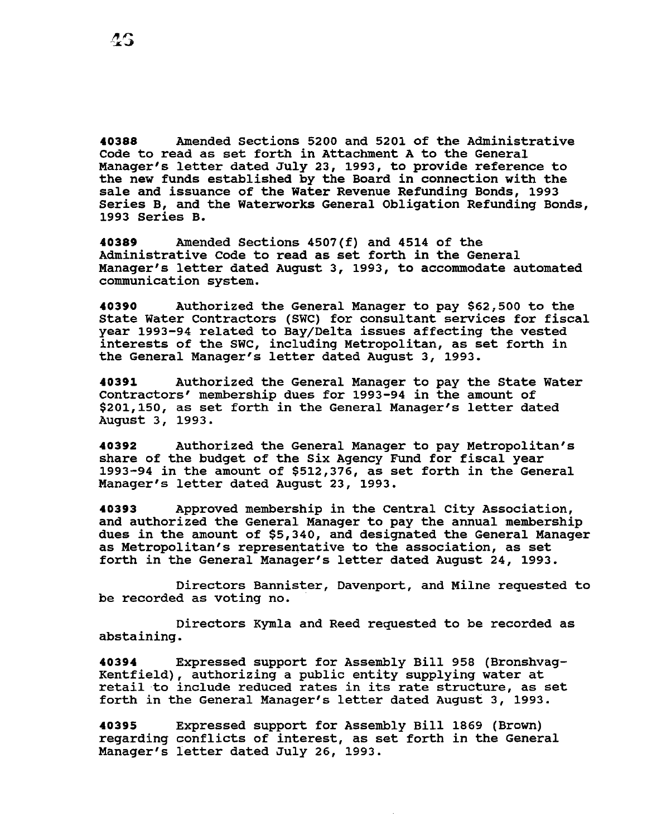**40388** Amended Sections 5200 and 5201 of the Administrative Code to read as set forth in Attachment A to the General Manager's letter dated July 23, 1993, to provide reference to the new funds established by the Board in connection with the sale and issuance of the water Revenue Refunding Bonds, 1993 Series B, and the waterworks General Obligation Refunding Bonds, 1993 Series B.

**40389** Amended Sections 4507(f) and 4514 of the Administrative Code to read as set forth in the General Manager's letter dated August 3, 1993, to accommodate automated communication system.

**40390** Authorized the General Manager to pay \$62,500 to the State Water Contractors (SWC) for consultant services for fiscal year 1993-94 related to Bay/Delta issues affecting the vested interests of the SWC, including Metropolitan, as set forth in the General Manager's letter dated August 3, 1993.

**40391** Authorized the General Manager to pay the State Water Contractors' membership dues for 1993-94 in the amount of \$201,150, as set forth in the General Manager's letter dated August 3, 1993.

**40392** Authorized the General Manager to pay Metropolitan's share of the budget of the Six Agency Fund for fiscal year 1993-94 in the amount of \$512,376, as set forth in the General Manager's letter dated August 23, 1993.

**40393** Approved membership in the Central City Association, and authorized the General Manager to pay the annual membership dues in the amount of \$5,340, and designated the General Manager as Metropolitan's representative to the association, as set forth in the General Manager's letter dated August 24, 1993.

Directors Bannister, Davenport, and Milne requested to be recorded as voting no.

Directors Kymla and Reed requested to be recorded as abstaining.

**40394** Expressed support for Assembly Bill 958 (Bronshvag-Kentfield), authorizing a public entity supplying water at retail to include reduced rates in its rate structure, as set forth in the General Manager's letter dated August 3, 1993.

**40395**  regarding conflicts of interest, as set forth in the General Manager's letter dated July 26, 1993. Expressed support for Assembly Bill 1869 (Brown)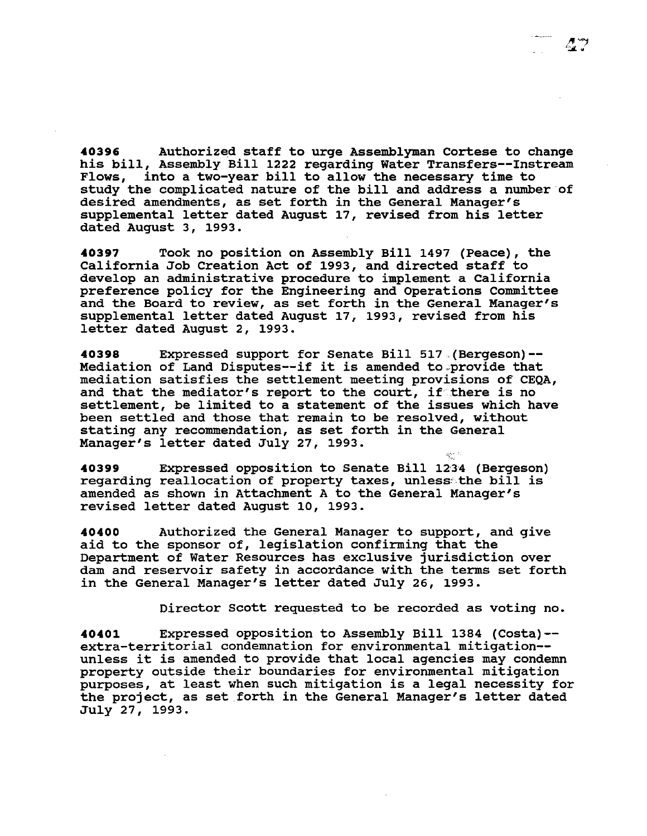**40396** Authorized staff to urge Assemblyman Cortese to change his bill, Assembly Bill 1222 regarding Water Transfers--Instream<br>Flows, into a two-year bill to allow the necessary time to into a two-year bill to allow the necessary time to study the complicated nature of the bill and address a number of desired amendments, as set forth in the General Manager's supplemental letter dated August 17, revised from his letter dated August 3, 1993.

**40397** Took no position on Assembly Bill 1497 (Peace), the California Job Creation Act of 1993, and directed staff to develop an administrative procedure to implement a California preference policy for the Engineering and Operations Committee and the Board to review, as set forth in the General Manager's supplemental letter dated August 17, 1993, revised from his letter dated August 2, 1993.

**40398** Expressed support for Senate Bill 517 ,(Bergeson)-- Mediation of Land Disputes--if it is amended to provide that mediation satisfies the settlement meeting provisions of CEQA, and that the mediator's report to the court, if there is no settlement, be limited to a statement of the issues which have been settled and those that remain to be resolved, without stating any recommendation, as set forth in the General Manager's letter dated July 27, 1993.

**40399** Expressed opposition to Senate Bill 12·34 (Bergeson) regarding reallocation of property taxes, unless:the bill is amended as shown in Attachment A to the General Manager's revised letter dated August 10, 1993.

**40400** Authorized the General Manager to support, and give aid to the sponsor of, legislation confirming that the Department of Water Resources has exclusive jurisdiction over dam and reservoir safety in accordance with the terms set forth in the General Manager's letter dated July 26, 1993.

Director Scott requested to be recorded as voting no.

goniti.

**40401** Expressed opposition to Assembly Bill 1384 (Costa)- extra-territorial condemnation for environmental mitigation- unless it is amended to provide that local agencies may condemn property outside their boundaries for environmental mitigation purposes, at least when such mitigation is a legal necessity for the project, as set forth in the General Manager's letter dated July 27, 1993.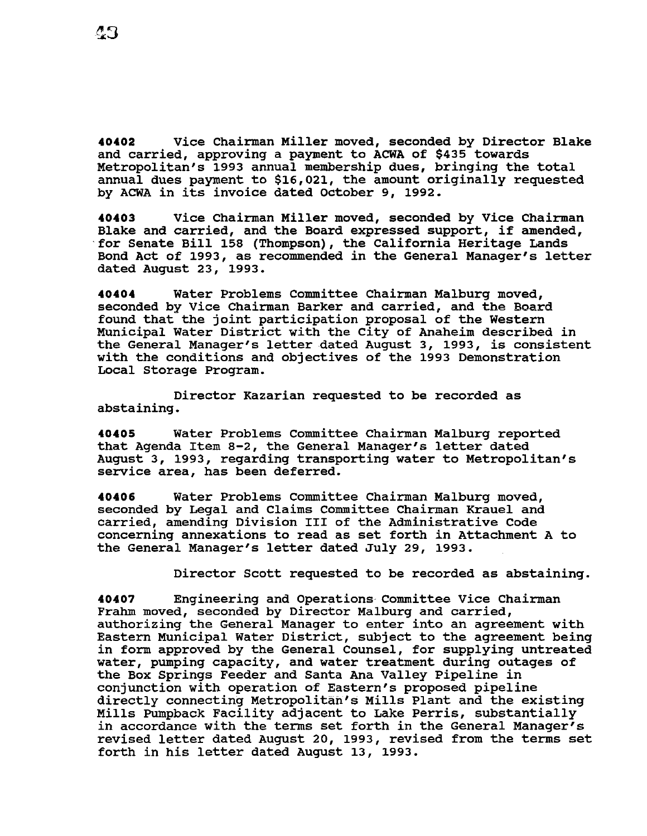**40402** Vice Chairman Miller moved, seconded by Director Blake and carried, approving a payment to ACWA of \$435 towards Metropolitan's 1993 annual membership dues, bringing the total annual dues payment to \$16,021, the amount originally requested by ACWA in its invoice dated october 9, 1992.

**40403** Vice Chairman Miller moved, seconded by Vice Chairman Blake and carried, and the Board expressed support, if amended, for Senate Bill 158 (Thompson), the California Heritage Lands Bond Act of 1993, as recommended in the General Manager's letter dated August 23, 1993.

**40404** Water Problems Committee Chairman Malburg moved, seconded by Vice Chairman Barker and carried, and the Board found that the joint participation proposal of the Western Municipal Water District with the City of Anaheim described in the General Manager's letter dated August 3, 1993, is consistent with the conditions and objectives of the 1993 Demonstration Local Storage Program.

Director Kazarian requested to be recorded as abstaining.

**40405** Water Problems Committee Chairman Malburg reported that Agenda Item 8-2, the General Manager's letter dated August 3, 1993, regarding transporting water to Metropolitan's service area, has been deferred.

**40406** Water Problems committee Chairman Malburg moved, seconded by Legal and Claims Committee Chairman Krauel and carried, amending Division III of the Administrative Code concerning annexations to read as set forth in Attachment A to the General Manager's letter dated July 29, 1993.

Director Scott requested to be recorded as abstaining.

**40407** Engineering and Operations-Committee Vice Chairman Frahm moved, seconded by Director Malburg and carried, authorizing the General Manager to enter into an agreement with Eastern Municipal Water District, subject to the agreement being in form approved by the General Counsel, for supplying untreated water, pumping capacity, and water treatment during outages of the Box Springs Feeder and Santa Ana Valley Pipeline in conjunction with operation of Eastern's proposed pipeline directly connecting Metropolitan's Mills Plant and the existing Mills Pumpback Facility adjacent to Lake Perris, substantially in accordance with the terms set forth in the General Manager's revised letter dated August 20, 1993, revised from the terms set forth in his letter dated August 13, 1993.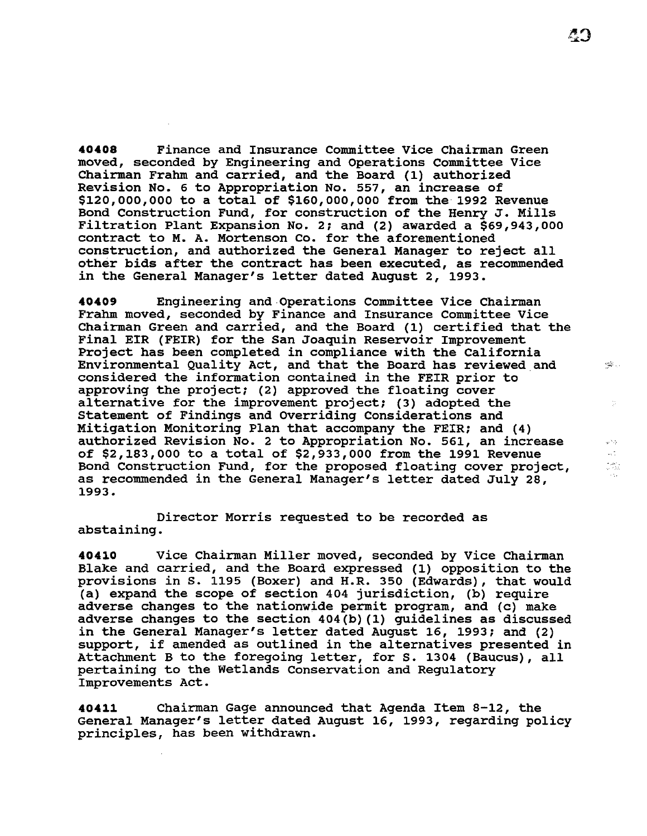**40408** Finance and Insurance Committee Vice Chairman Green moved, seconded by Engineering and Operations Committee Vice Chairman Frahm and carried, and the Board (1) authorized Revision No. 6 to Appropriation No. 557, an increase of \$120,000,000 to a total of \$160,000,000 from the 1992 Revenue Bond Construction Fund, for construction of the Henry J. Mills Filtration Plant Expansion No. 2; and (2) awarded a \$69,943,000 contract to M. A. Mortenson co. for the aforementioned construction, and authorized the General Manager to reject all other bids after the contract has been executed, as recommended in the General Manager's letter dated August 2, 1993.

**40409** Engineering and Operations Committee Vice Chairman Frahm moved, seconded by Finance and Insurance Committee Vice Chairman Green and carried, and the Board (1) certified that the Final EIR (FEIR) for the san Joaquin Reservoir Improvement Project has been completed in compliance with the California **Environmental Quality Act, and that the Board has reviewed and**  $\cdots$ considered the information contained in the FEIR prior to approving the project; (2) approved the floating cover alternative for the improvement project; (3) adopted the Statement of Findings and overriding Considerations and Mitigation Monitoring Plan that accompany the FEIR; and (4) authorized Revision No. 2 to Appropriation No. 561, an increase of \$2,183,000 to a total of \$2,933,000 from the 1991 Revenue Bond Construction Fund, for the proposed floating cover project, as recommended in the General Manager's letter dated July 28, 1993.

Director Morris requested to be recorded as abstaining.

**40410** Vice Chairman Miller moved, seconded by Vice Chairman Blake and carried, and the Board expressed (1) opposition to the provisions in S. 1195 (Boxer) and H.R. 350 (Edwards), that would (a) expand the scope of section 404 jurisdiction, (b) require adverse changes to the nationwide permit program, and (c) make adverse changes to the section 404(b)(1) guidelines as discussed in the General Manager's letter dated August 16, 1993; and (2) support, if amended as outlined in the alternatives presented in Attachment B to the foregoing letter, for s. 1304 (Baucus), all pertaining to the Wetlands Conservation and Regulatory Improvements Act.

**40411** Chairman Gage announced that Agenda Item 8-12, the General Manager's letter dated August 16, 1993, regarding policy principles, has been withdrawn.

 $\frac{1}{\epsilon^2}$ 

gebig.  $\mathcal{A}^{\pm}_{\alpha}$ riak<br>Virtus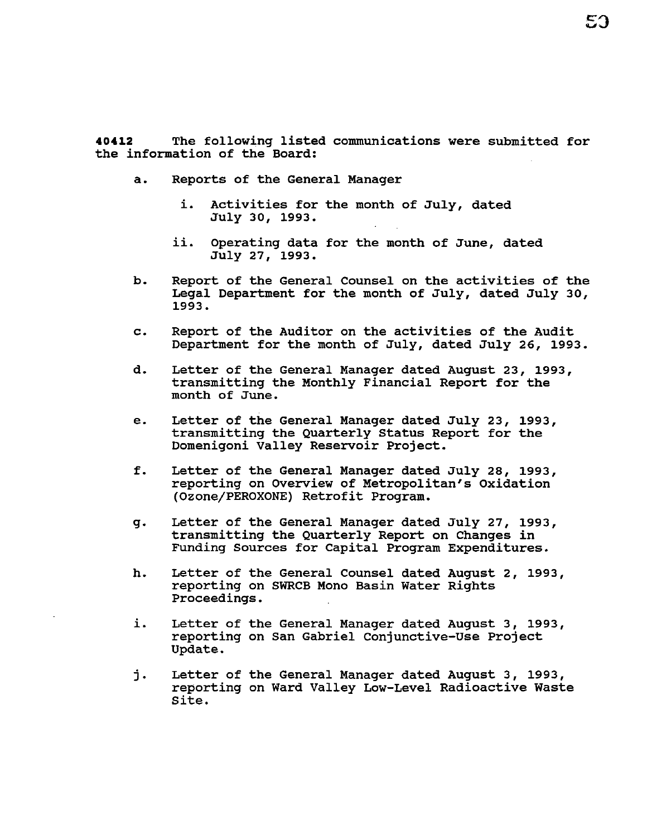**40412** The following listed communications were submitted for the information of the Board:

- a. Reports of the General Manager
	- i. Activities for the month of July, dated July 30, 1993.
	- ii. Operating data for the month of June, dated July 27, 1993.
- b. Report of the General Counsel on the activities of the Legal Department for the month of July, dated July 30, 1993.
- c. Report of the Auditor on the activities of the Audit Department for the month of July, dated July 26, 1993.
- d. Letter of the General Manager dated August 23, 1993, transmitting the Monthly Financial Report for the month of June.
- e. Letter of the General Manager dated July 23, 1993, transmitting the Quarterly Status Report for the Domenigoni Valley Reservoir Project.
- f. Letter of the General Manager dated July 28, 1993, reporting on Overview of Metropolitan's Oxidation (Ozone/PEROXONE) Retrofit Program.
- g. Letter of the General Manager dated July 27, 1993, transmitting the Quarterly Report on Changes in Funding Sources for Capital Program Expenditures.
- h. Letter of the General Counsel dated August 2, 1993, reporting on SWRCB Mono Basin Water Rights Proceedings.
- i. Letter of the General Manager dated August 3, 1993, reporting on San Gabriel Conjunctive-Use Project Update.
- j. Letter of the General Manager dated August 3, 1993, reporting on Ward Valley Low-Level Radioactive Waste Site.